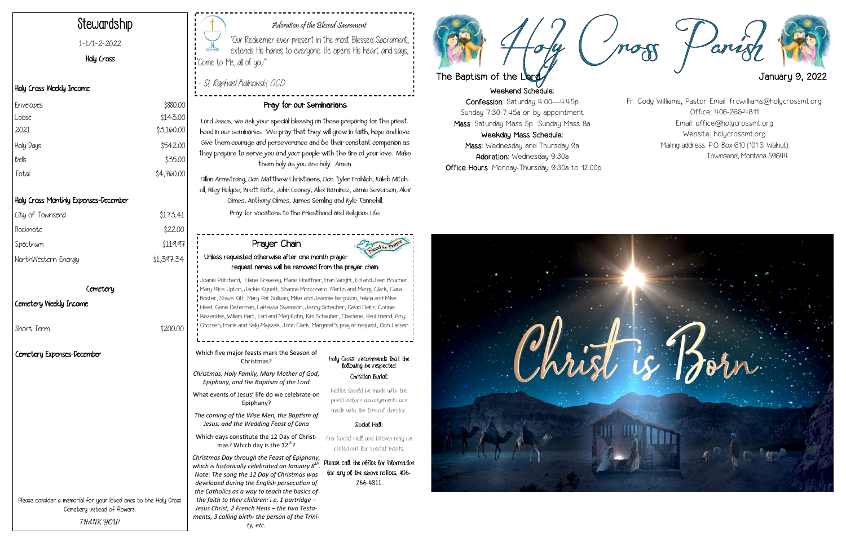



"Our Redeemer ever present in the most Blessed Sacrament, extends His hands to everyone. He opens His heart and says, "Come to Me, all of you."

#### Adoration of the Blessed Sacrament

- St. Raphael Kalinowski, O.C.D.

## Stewardship

1-1/1-2-2022

#### Holy Cross

#### Holy Cross Weekly Income

#### Holy Cross Monthly Expenses-December

| City of Townsend    | \$173.41   |
|---------------------|------------|
| Flocknote           | \$22.00    |
| Spectrum            | \$119.97   |
| NorthWestern Energy | \$1,397.34 |
|                     |            |

#### Cemetery

#### Cemetery Weekly Income

Short Term  $$200.00$ 

### Pray for our Seminarians

Lord Jesus, we ask your special blessing on those preparing for the priesthood in our seminaries. We pray that they will grow in faith, hope and love. Give them courage and perseverance and be their constant companion as they prepare to serve you and your people with the fire of your love. Make them holy as you are holy. Amen.

Which days constitute the 12 Day of Christmas? Which day is the  $12^{th}$ ?

Dillon Armstrong, Dcn. Matthew Christiaens, Dcn. Tyler Frohlich, Kaleb Mitchell, Riley Helgoe, Brett Rotz, John Cooney, Alex Ramirez, Jamie Severson, Alex Olmes, Anthony Olmes, James Semling and Kyle Tannehill. Pray for vocations to the Priesthood and Religious Life.

| Envelopes | \$880.00   |
|-----------|------------|
| Loose     | \$143.00   |
| 2021      | \$3,160.00 |
| Holy Days | \$542.00   |
| bells     | \$35.00    |
| Total     | \$4,760.00 |

Please consider a memorial for your loved ones to the Holy Cross Cemetery instead of flowers. **THANK YOU!**

#### Holy Cross recommends that the following be respected: Christian Burial:

Notice should be made with the priest before arrangements are made with the funeral director.

#### Social Hall:

Our Social Hall and kitchen may be rented out for special events.

Please call the office for information for any of the above notices, 406- 266-4811.

Which five major feasts mark the Season of Christmas?

*Christmas, Holy Family, Mary Mother of God, Epiphany, and the Baptism of the Lord*

What events of Jesus' life do we celebrate on Epiphany?

*The coming of the Wise Men, the Baptism of Jesus, and the Wedding Feast of Cana*

*Christmas Day through the Feast of Epiphany, which is historically celebrated on January 8th . Note: The song the 12 Day of Christmas was developed during the English persecution of the Catholics as a way to teach the basics of the faith to their children: i.e. 1 partridge – Jesus Christ, 2 French Hens – the two Testaments, 3 calling birth- the person of the Trinity, etc.* 

#### Prayer Chain Unless requested otherwise after one month prayer request names will be removed from the prayer chain:

Joanie Pritchard, Elaine Graveley, Marie Hoeffner, Fran Wright, Ed and Jean Boucher, Mary Alice Upton, Jackie Kynett, Shanna Montonario, Martin and Margy Clark, Clara Boster, Steve Kitt, Mary Pat Sullivan, Mike and Jeannie Ferguson, Felicia and Mike Head, Gene Determan, LaReissa Swenson, Jenny Schauber, David Deitz, Connie Rezendes, William Hart, Earl and Marj Kohn, Kim Schauber, Charlene, Paul Friend, Amy Ghorsen, Frank and Sally Majszak, John Clark, Margaret's prayer request, Don Larsen Fr. Cody Williams, Pastor Email: frcwilliams@holycrossmt.org Office: 406-266-4811 Email: office@holycrossmt.org Website: holycrossmt.org Mailing address: P.O. Box 610 (101 S. Walnut) Townsend, Montana 59644



#### Cemetery Expenses-December